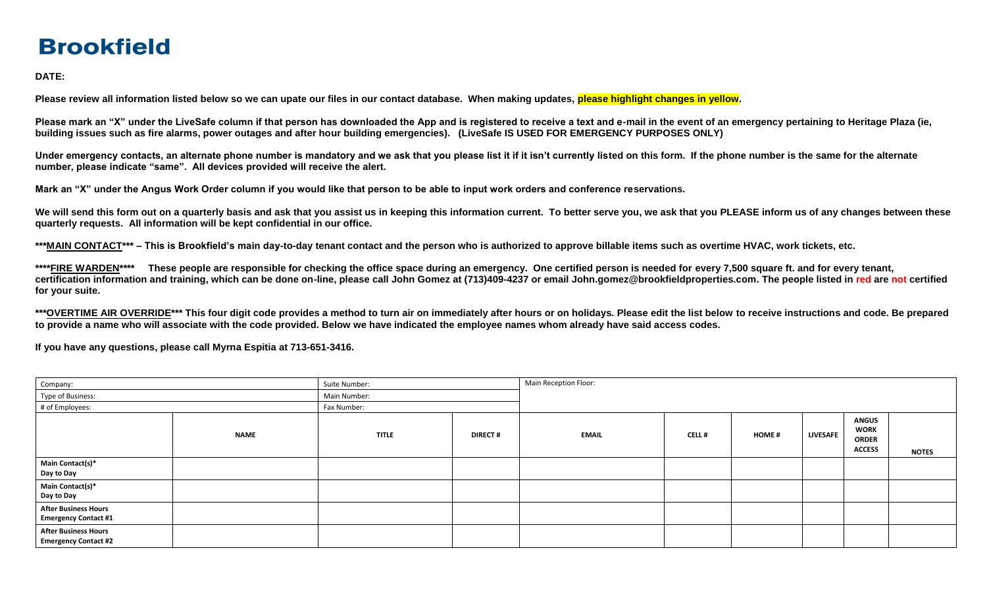## **Brookfield**

**DATE:** 

Please review all information listed below so we can upate our files in our contact database. When making updates, please highlight changes in yellow.

Please mark an "X" under the LiveSafe column if that person has downloaded the App and is registered to receive a text and e-mail in the event of an emergency pertaining to Heritage Plaza (ie, **building issues such as fire alarms, power outages and after hour building emergencies). (LiveSafe IS USED FOR EMERGENCY PURPOSES ONLY)** 

Under emergency contacts, an alternate phone number is mandatory and we ask that you please list it if it isn't currently listed on this form. If the phone number is the same for the alternate **number, please indicate "same". All devices provided will receive the alert.** 

**Mark an "X" under the Angus Work Order column if you would like that person to be able to input work orders and conference reservations.** 

We will send this form out on a quarterly basis and ask that you assist us in keeping this information current. To better serve you, we ask that you PLEASE inform us of any changes between these **quarterly requests. All information will be kept confidential in our office.** 

**\*\*\*MAIN CONTACT\*\*\* – This is Brookfield's main day-to-day tenant contact and the person who is authorized to approve billable items such as overtime HVAC, work tickets, etc.** 

**\*\*\*\*FIRE WARDEN\*\*\*\* These people are responsible for checking the office space during an emergency. One certified person is needed for every 7,500 square ft. and for every tenant, certification information and training, which can be done on-line, please call John Gomez at (713)409-4237 or email John.gomez@brookfieldproperties.com. The people listed in red are not certified for your suite.** 

**\*\*\*OVERTIME AIR OVERRIDE\*\*\* This four digit code provides a method to turn air on immediately after hours or on holidays. Please edit the list below to receive instructions and code. Be prepared to provide a name who will associate with the code provided. Below we have indicated the employee names whom already have said access codes.**

**If you have any questions, please call Myrna Espitia at 713-651-3416.**

| Company:                                                   |             | Suite Number: |                | Main Reception Floor: |              |              |                 |                                                              |              |
|------------------------------------------------------------|-------------|---------------|----------------|-----------------------|--------------|--------------|-----------------|--------------------------------------------------------------|--------------|
| Type of Business:                                          |             | Main Number:  |                |                       |              |              |                 |                                                              |              |
| # of Employees:                                            |             | Fax Number:   |                |                       |              |              |                 |                                                              |              |
|                                                            | <b>NAME</b> | <b>TITLE</b>  | <b>DIRECT#</b> | <b>EMAIL</b>          | <b>CELL#</b> | <b>HOME#</b> | <b>LIVESAFE</b> | <b>ANGUS</b><br><b>WORK</b><br><b>ORDER</b><br><b>ACCESS</b> | <b>NOTES</b> |
| Main Contact(s)*<br>Day to Day                             |             |               |                |                       |              |              |                 |                                                              |              |
| Main Contact(s)*<br>Day to Day                             |             |               |                |                       |              |              |                 |                                                              |              |
| <b>After Business Hours</b><br><b>Emergency Contact #1</b> |             |               |                |                       |              |              |                 |                                                              |              |
| <b>After Business Hours</b><br><b>Emergency Contact #2</b> |             |               |                |                       |              |              |                 |                                                              |              |